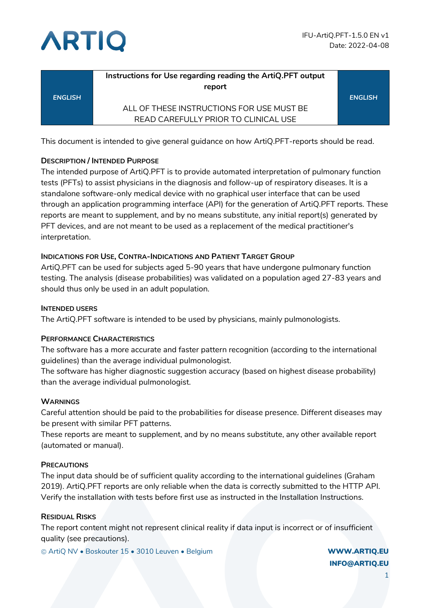



|                | Instructions for Use regarding reading the ArtiQ.PFT output<br>report |                |
|----------------|-----------------------------------------------------------------------|----------------|
| <b>ENGLISH</b> |                                                                       | <b>ENGLISH</b> |
|                | ALL OF THESE INSTRUCTIONS FOR USE MUST BE                             |                |
|                | READ CAREFULLY PRIOR TO CLINICAL USE                                  |                |

This document is intended to give general guidance on how ArtiQ.PFT-reports should be read.

#### **DESCRIPTION / INTENDED PURPOSE**

The intended purpose of ArtiQ.PFT is to provide automated interpretation of pulmonary function tests (PFTs) to assist physicians in the diagnosis and follow-up of respiratory diseases. It is a standalone software-only medical device with no graphical user interface that can be used through an application programming interface (API) for the generation of ArtiQ.PFT reports. These reports are meant to supplement, and by no means substitute, any initial report(s) generated by PFT devices, and are not meant to be used as a replacement of the medical practitioner's interpretation.

#### **INDICATIONS FOR USE, CONTRA-INDICATIONS AND PATIENT TARGET GROUP**

ArtiQ.PFT can be used for subjects aged 5-90 years that have undergone pulmonary function testing. The analysis (disease probabilities) was validated on a population aged 27-83 years and should thus only be used in an adult population.

#### **INTENDED USERS**

The ArtiQ.PFT software is intended to be used by physicians, mainly pulmonologists.

#### **PERFORMANCE CHARACTERISTICS**

The software has a more accurate and faster pattern recognition (according to the international guidelines) than the average individual pulmonologist.

The software has higher diagnostic suggestion accuracy (based on highest disease probability) than the average individual pulmonologist.

#### **WARNINGS**

Careful attention should be paid to the probabilities for disease presence. Different diseases may be present with similar PFT patterns.

These reports are meant to supplement, and by no means substitute, any other available report (automated or manual).

#### **PRECAUTIONS**

The input data should be of sufficient quality according to the international guidelines (Graham 2019). ArtiQ.PFT reports are only reliable when the data is correctly submitted to the HTTP API. Verify the installation with tests before first use as instructed in the Installation Instructions.

#### **RESIDUAL RISKS**

The report content might not represent clinical reality if data input is incorrect or of insufficient quality (see precautions).

© ArtiQ NV • Boskouter 15 • 3010 Leuven • Belgium WWW.ARTIQ.EU

INFO@ARTIQ.EU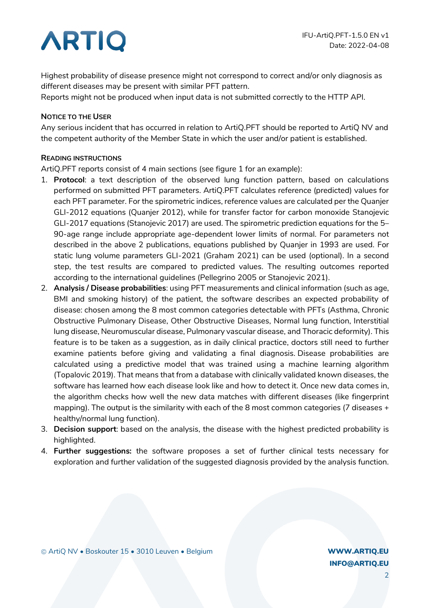## **ARTIQ**

Highest probability of disease presence might not correspond to correct and/or only diagnosis as different diseases may be present with similar PFT pattern.

Reports might not be produced when input data is not submitted correctly to the HTTP API.

#### **NOTICE TO THE USER**

Any serious incident that has occurred in relation to ArtiQ.PFT should be reported to ArtiQ NV and the competent authority of the Member State in which the user and/or patient is established.

#### **READING INSTRUCTIONS**

ArtiQ.PFT reports consist of 4 main sections (see figure 1 for an example):

- 1. **Protocol**: a text description of the observed lung function pattern, based on calculations performed on submitted PFT parameters. ArtiQ.PFT calculates reference (predicted) values for each PFT parameter. For the spirometric indices, reference values are calculated per the Quanjer GLI-2012 equations (Quanjer 2012), while for transfer factor for carbon monoxide Stanojevic GLI-2017 equations (Stanojevic 2017) are used. The spirometric prediction equations for the 5– 90-age range include appropriate age-dependent lower limits of normal. For parameters not described in the above 2 publications, equations published by Quanjer in 1993 are used. For static lung volume parameters GLI-2021 (Graham 2021) can be used (optional). In a second step, the test results are compared to predicted values. The resulting outcomes reported according to the international guidelines (Pellegrino 2005 or Stanojevic 2021).
- 2. **Analysis / Disease probabilities**: using PFT measurements and clinical information (such as age, BMI and smoking history) of the patient, the software describes an expected probability of disease: chosen among the 8 most common categories detectable with PFTs (Asthma, Chronic Obstructive Pulmonary Disease, Other Obstructive Diseases, Normal lung function, Interstitial lung disease, Neuromuscular disease, Pulmonary vascular disease, and Thoracic deformity). This feature is to be taken as a suggestion, as in daily clinical practice, doctors still need to further examine patients before giving and validating a final diagnosis. Disease probabilities are calculated using a predictive model that was trained using a machine learning algorithm (Topalovic 2019). That means that from a database with clinically validated known diseases, the software has learned how each disease look like and how to detect it. Once new data comes in, the algorithm checks how well the new data matches with different diseases (like fingerprint mapping). The output is the similarity with each of the 8 most common categories (7 diseases + healthy/normal lung function).
- 3. **Decision support**: based on the analysis, the disease with the highest predicted probability is highlighted.
- 4. **Further suggestions:** the software proposes a set of further clinical tests necessary for exploration and further validation of the suggested diagnosis provided by the analysis function.